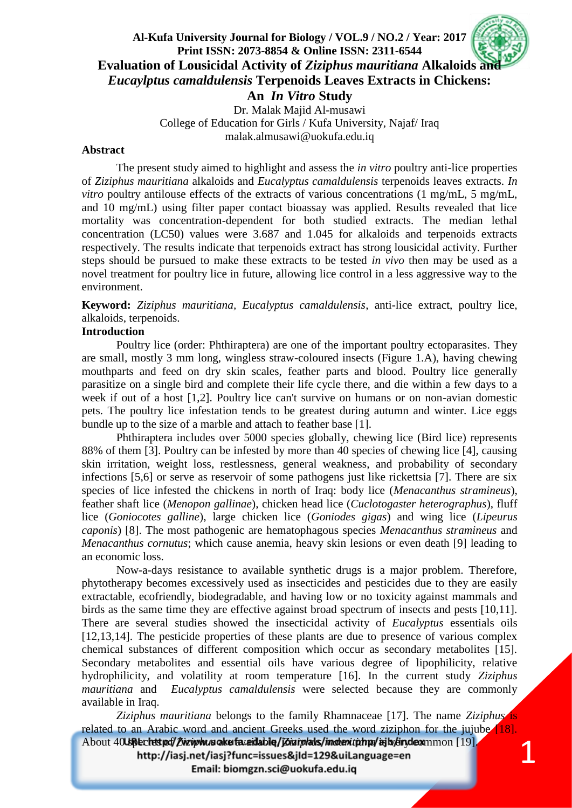# **Al-Kufa University Journal for Biology / VOL.9 / NO.2 / Year: 2017 Print ISSN: 2073-8854 & Online ISSN: 2311-6544 Evaluation of Lousicidal Activity of Ziziphus mauritiana Alkaloids and** *Eucaylptus camaldulensis* **Terpenoids Leaves Extracts in Chickens: An** *In Vitro* **Study** Dr. Malak Majid Al-musawi College of Education for Girls / Kufa University, Najaf/ Iraq

malak.almusawi@uokufa.edu.iq

#### **Abstract**

The present study aimed to highlight and assess the *in vitro* poultry anti-lice properties of *Ziziphus mauritiana* alkaloids and *Eucalyptus camaldulensis* terpenoids leaves extracts. *In vitro* poultry antilouse effects of the extracts of various concentrations (1 mg/mL, 5 mg/mL, and 10 mg/mL) using filter paper contact bioassay was applied. Results revealed that lice mortality was concentration-dependent for both studied extracts. The median lethal concentration (LC50) values were 3.687 and 1.045 for alkaloids and terpenoids extracts respectively. The results indicate that terpenoids extract has strong lousicidal activity. Further steps should be pursued to make these extracts to be tested *in vivo* then may be used as a novel treatment for poultry lice in future, allowing lice control in a less aggressive way to the environment.

**Keyword:** *Ziziphus mauritiana, Eucalyptus camaldulensis*, anti-lice extract, poultry lice, alkaloids, terpenoids.

### **Introduction**

Poultry lice (order: Phthiraptera) are one of the important poultry ectoparasites. They are small, mostly 3 mm long, wingless straw-coloured insects (Figure 1.A), having chewing mouthparts and feed on dry skin scales, feather parts and blood. Poultry lice generally parasitize on a single bird and complete their life cycle there, and die within a few days to a week if out of a host [1,2]. Poultry lice can't survive on humans or on non-avian domestic pets. The poultry lice infestation tends to be greatest during autumn and winter. Lice eggs bundle up to the size of a marble and attach to feather base [1].

Phthiraptera includes over 5000 species globally, chewing lice (Bird lice) represents 88% of them [3]. Poultry can be infested by more than 40 species of chewing lice [4], causing skin irritation, weight loss, restlessness, general weakness, and probability of secondary infections [5,6] or serve as reservoir of some pathogens just like rickettsia [7]. There are six species of lice infested the chickens in north of Iraq: body lice (*Menacanthus stramineus*), feather shaft lice (*Menopon gallinae*), chicken head lice (*Cuclotogaster heterographus*), fluff lice (*Goniocotes galline*), large chicken lice (*Goniodes gigas*) and wing lice (*Lipeurus caponis*) [8]. The most pathogenic are hematophagous species *Menacanthus stramineus* and *Menacanthus cornutus*; which cause anemia, heavy skin lesions or even death [9] leading to an economic loss.

Now-a-days resistance to available synthetic drugs is a major problem. Therefore, phytotherapy becomes excessively used as insecticides and pesticides due to they are easily extractable, ecofriendly, biodegradable, and having low or no toxicity against mammals and birds as the same time they are effective against broad spectrum of insects and pests [10,11]. There are several studies showed the insecticidal activity of *Eucalyptus* essentials oils [12,13,14]. The pesticide properties of these plants are due to presence of various complex chemical substances of different composition which occur as secondary metabolites [15]. Secondary metabolites and essential oils have various degree of lipophilicity, relative hydrophilicity, and volatility at room temperature [16]. In the current study *Ziziphus mauritiana* and *Eucalyptus camaldulensis* were selected because they are commonly available in Iraq.

*Ziziphus mauritiana* belongs to the family Rhamnaceae [17]. The name *Ziziphus* is related to an Arabic word and ancient Greeks used the word ziziphon for the jujube  $\sqrt{18}$ .

1

About 40 species of *Zigiphus* are favailable / *Zigiplals/indentiphu/ajb/sindexmmon* [19]. http://iasj.net/iasj?func=issues&jId=129&uiLanguage=en

Email: biomgzn.sci@uokufa.edu.iq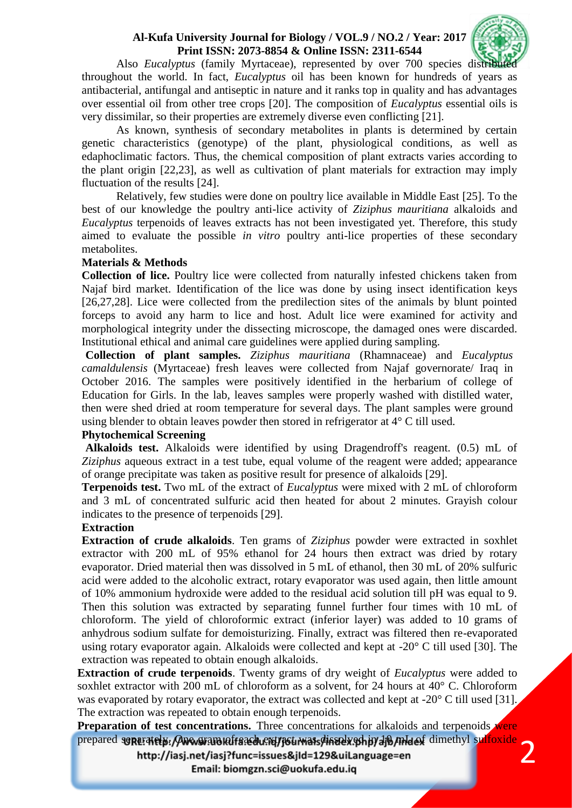

Also *Eucalyptus* (family Myrtaceae), represented by over 700 species distri throughout the world. In fact, *Eucalyptus* oil has been known for hundreds of years as antibacterial, antifungal and antiseptic in nature and it ranks top in quality and has advantages over essential oil from other tree crops [20]. The composition of *Eucalyptus* essential oils is very dissimilar, so their properties are extremely diverse even conflicting [21].

As known, synthesis of secondary metabolites in plants is determined by certain genetic characteristics (genotype) of the plant, physiological conditions, as well as edaphoclimatic factors. Thus, the chemical composition of plant extracts varies according to the plant origin [22,23], as well as cultivation of plant materials for extraction may imply fluctuation of the results [24].

Relatively, few studies were done on poultry lice available in Middle East [25]. To the best of our knowledge the poultry anti-lice activity of *Ziziphus mauritiana* alkaloids and *Eucalyptus* terpenoids of leaves extracts has not been investigated yet. Therefore, this study aimed to evaluate the possible *in vitro* poultry anti-lice properties of these secondary metabolites.

### **Materials & Methods**

**Collection of lice.** Poultry lice were collected from naturally infested chickens taken from Najaf bird market. Identification of the lice was done by using insect identification keys [26,27,28]. Lice were collected from the predilection sites of the animals by blunt pointed forceps to avoid any harm to lice and host. Adult lice were examined for activity and morphological integrity under the dissecting microscope, the damaged ones were discarded. Institutional ethical and animal care guidelines were applied during sampling.

**Collection of plant samples.** *Ziziphus mauritiana* (Rhamnaceae) and *Eucalyptus camaldulensis* (Myrtaceae) fresh leaves were collected from Najaf governorate/ Iraq in October 2016. The samples were positively identified in the herbarium of college of Education for Girls. In the lab, leaves samples were properly washed with distilled water, then were shed dried at room temperature for several days. The plant samples were ground using blender to obtain leaves powder then stored in refrigerator at 4° C till used.

### **Phytochemical Screening**

**Alkaloids test.** Alkaloids were identified by using Dragendroff's reagent. (0.5) mL of *Ziziphus* aqueous extract in a test tube, equal volume of the reagent were added; appearance of orange precipitate was taken as positive result for presence of alkaloids [29].

**Terpenoids test.** Two mL of the extract of *Eucalyptus* were mixed with 2 mL of chloroform and 3 mL of concentrated sulfuric acid then heated for about 2 minutes. Grayish colour indicates to the presence of terpenoids [29].

#### **Extraction**

**Extraction of crude alkaloids**. Ten grams of *Ziziphus* powder were extracted in soxhlet extractor with 200 mL of 95% ethanol for 24 hours then extract was dried by rotary evaporator. Dried material then was dissolved in 5 mL of ethanol, then 30 mL of 20% sulfuric acid were added to the alcoholic extract, rotary evaporator was used again, then little amount of 10% ammonium hydroxide were added to the residual acid solution till pH was equal to 9. Then this solution was extracted by separating funnel further four times with 10 mL of chloroform. The yield of chloroformic extract (inferior layer) was added to 10 grams of anhydrous sodium sulfate for demoisturizing. Finally, extract was filtered then re-evaporated using rotary evaporator again. Alkaloids were collected and kept at -20° C till used [30]. The extraction was repeated to obtain enough alkaloids.

**Extraction of crude terpenoids**. Twenty grams of dry weight of *Eucalyptus* were added to soxhlet extractor with 200 mL of chloroform as a solvent, for 24 hours at 40° C. Chloroform was evaporated by rotary evaporator, the extract was collected and kept at -20° C till used [31]. The extraction was repeated to obtain enough terpenoids.

2 **Preparation of test concentrations.** Three concentrations for alkaloids and terpenoids **were** prepared soparately. One gram affaced extract mass dissolved in 10 mL of dimethyl sulfoxide

http://iasj.net/iasj?func=issues&jld=129&uiLanguage=en

Email: biomgzn.sci@uokufa.edu.iq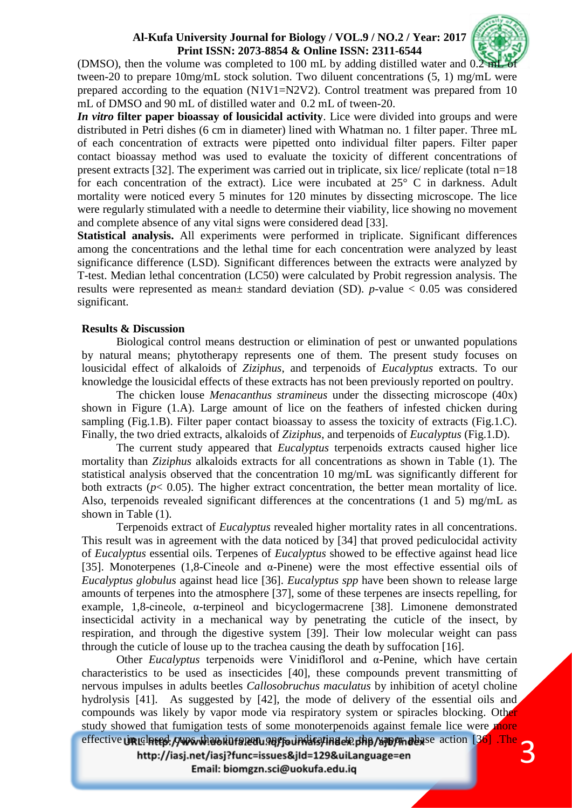

(DMSO), then the volume was completed to 100 mL by adding distilled water and  $0.2$  m tween-20 to prepare 10mg/mL stock solution. Two diluent concentrations (5, 1) mg/mL were prepared according to the equation (N1V1=N2V2). Control treatment was prepared from 10 mL of DMSO and 90 mL of distilled water and 0.2 mL of tween-20.

*In vitro* **filter paper bioassay of lousicidal activity**. Lice were divided into groups and were distributed in Petri dishes (6 cm in diameter) lined with Whatman no. 1 filter paper. Three mL of each concentration of extracts were pipetted onto individual filter papers. Filter paper contact bioassay method was used to evaluate the toxicity of different concentrations of present extracts [32]. The experiment was carried out in triplicate, six lice/ replicate (total n=18 for each concentration of the extract). Lice were incubated at 25° C in darkness. Adult mortality were noticed every 5 minutes for 120 minutes by dissecting microscope. The lice were regularly stimulated with a needle to determine their viability, lice showing no movement and complete absence of any vital signs were considered dead [33].

**Statistical analysis.** All experiments were performed in triplicate. Significant differences among the concentrations and the lethal time for each concentration were analyzed by least significance difference (LSD). Significant differences between the extracts were analyzed by T-test. Median lethal concentration (LC50) were calculated by Probit regression analysis. The results were represented as mean± standard deviation (SD). *p*-value < 0.05 was considered significant.

### **Results & Discussion**

Biological control means destruction or elimination of pest or unwanted populations by natural means; phytotherapy represents one of them. The present study focuses on lousicidal effect of alkaloids of *Ziziphus*, and terpenoids of *Eucalyptus* extracts. To our knowledge the lousicidal effects of these extracts has not been previously reported on poultry.

The chicken louse *Menacanthus stramineus* under the dissecting microscope (40x) shown in Figure (1.A). Large amount of lice on the feathers of infested chicken during sampling (Fig.1.B). Filter paper contact bioassay to assess the toxicity of extracts (Fig.1.C). Finally, the two dried extracts, alkaloids of *Ziziphus*, and terpenoids of *Eucalyptus* (Fig.1.D).

The current study appeared that *Eucalyptus* terpenoids extracts caused higher lice mortality than *Ziziphus* alkaloids extracts for all concentrations as shown in Table (1). The statistical analysis observed that the concentration 10 mg/mL was significantly different for both extracts ( $p$ < 0.05). The higher extract concentration, the better mean mortality of lice. Also, terpenoids revealed significant differences at the concentrations (1 and 5) mg/mL as shown in Table (1).

Terpenoids extract of *Eucalyptus* revealed higher mortality rates in all concentrations. This result was in agreement with the data noticed by [34] that proved pediculocidal activity of *Eucalyptus* essential oils. Terpenes of *Eucalyptus* showed to be effective against head lice [35]. Monoterpenes (1,8-Cineole and α-Pinene) were the most effective essential oils of *Eucalyptus globulus* against head lice [36]. *Eucalyptus spp* have been shown to release large amounts of terpenes into the atmosphere [37], some of these terpenes are insects repelling, for example, 1,8-cineole, α-terpineol and bicyclogermacrene [38]. Limonene demonstrated insecticidal activity in a mechanical way by penetrating the cuticle of the insect, by respiration, and through the digestive system [39]. Their low molecular weight can pass through the cuticle of louse up to the trachea causing the death by suffocation [16].

3 Other *Eucalyptus* terpenoids were Vinidiflorol and α-Penine, which have certain characteristics to be used as insecticides [40], these compounds prevent transmitting of nervous impulses in adults beetles *Callosobruchus maculatus* by inhibition of acetyl choline hydrolysis [41]. As suggested by [42], the mode of delivery of the essential oils and compounds was likely by vapor mode via respiratory system or spiracles blocking. Other study showed that fumigation tests of some monoterpenoids against female lice were more effective un clased cups than in repeating to indicating the banging days e action [36]. The

http://iasj.net/iasj?func=issues&jld=129&uiLanguage=en

Email: biomgzn.sci@uokufa.edu.iq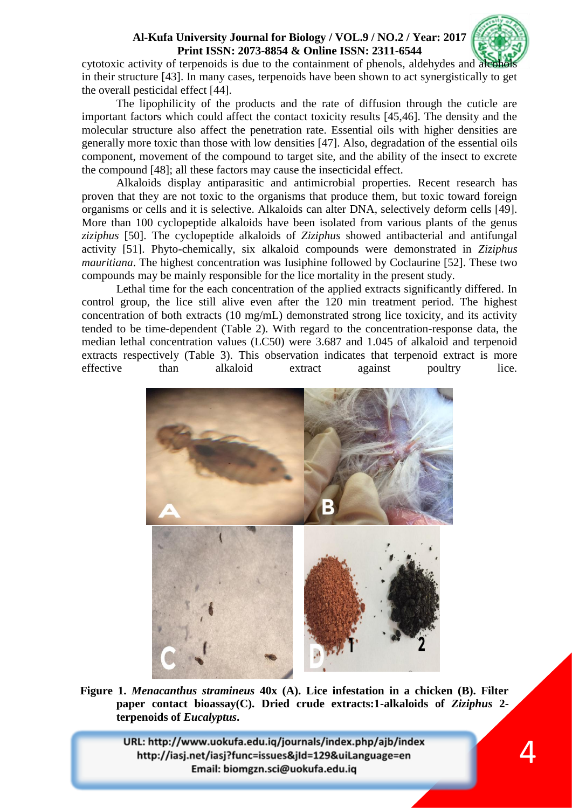

4

cytotoxic activity of terpenoids is due to the containment of phenols, aldehydes and ale in their structure [43]. In many cases, terpenoids have been shown to act synergistically to get the overall pesticidal effect [44].

The lipophilicity of the products and the rate of diffusion through the cuticle are important factors which could affect the contact toxicity results [45,46]. The density and the molecular structure also affect the penetration rate. Essential oils with higher densities are generally more toxic than those with low densities [47]. Also, degradation of the essential oils component, movement of the compound to target site, and the ability of the insect to excrete the compound [48]; all these factors may cause the insecticidal effect.

Alkaloids display antiparasitic and antimicrobial properties. Recent research has proven that they are not toxic to the organisms that produce them, but toxic toward foreign organisms or cells and it is selective. Alkaloids can alter DNA, selectively deform cells [49]. More than 100 cyclopeptide alkaloids have been isolated from various plants of the genus *ziziphus* [50]. The cyclopeptide alkaloids of *Ziziphus* showed antibacterial and antifungal activity [51]. Phyto-chemically, six alkaloid compounds were demonstrated in *Ziziphus mauritiana*. The highest concentration was Iusiphine followed by Coclaurine [52]. These two compounds may be mainly responsible for the lice mortality in the present study.

Lethal time for the each concentration of the applied extracts significantly differed. In control group, the lice still alive even after the 120 min treatment period. The highest concentration of both extracts (10 mg/mL) demonstrated strong lice toxicity, and its activity tended to be time-dependent (Table 2). With regard to the concentration-response data, the median lethal concentration values (LC50) were 3.687 and 1.045 of alkaloid and terpenoid extracts respectively (Table 3). This observation indicates that terpenoid extract is more effective than alkaloid extract against poultry lice.



**Figure 1.** *Menacanthus stramineus* **40x (A). Lice infestation in a chicken (B). Filter paper contact bioassay(C). Dried crude extracts:1-alkaloids of** *Ziziphus* **2 terpenoids of** *Eucalyptus***.**

URL: http://www.uokufa.edu.iq/journals/index.php/ajb/index http://iasj.net/iasj?func=issues&jId=129&uiLanguage=en Email: biomgzn.sci@uokufa.edu.iq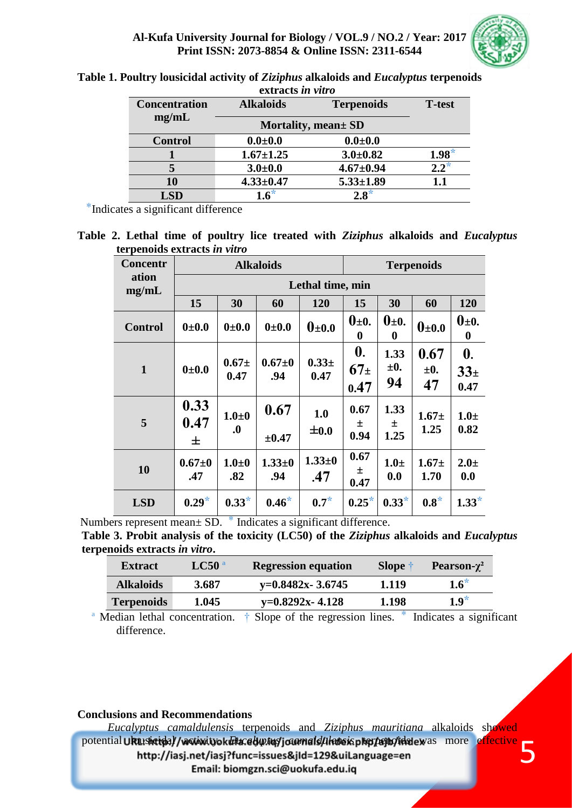

| Table 1. Poultry lousicidal activity of Ziziphus alkaloids and Eucalyptus terpenoids |  |
|--------------------------------------------------------------------------------------|--|
| extracts in vitro                                                                    |  |

| exu acıs <i>ın vulu</i> |                                       |                 |               |  |
|-------------------------|---------------------------------------|-----------------|---------------|--|
| <b>Concentration</b>    | <b>Alkaloids</b><br><b>Terpenoids</b> |                 | <b>T-test</b> |  |
| mg/mL                   | Mortality, mean ± SD                  |                 |               |  |
| <b>Control</b>          | $0.0 + 0.0$                           | $0.0 + 0.0$     |               |  |
|                         | $1.67 \pm 1.25$                       | $3.0 \pm 0.82$  | $1.98*$       |  |
|                         | $3.0 + 0.0$                           | $4.67 \pm 0.94$ | $2.2*$        |  |
| 10                      | $4.33 \pm 0.47$                       | $5.33 \pm 1.89$ | 1.1           |  |
| <b>LSD</b>              | $1.6^*$                               | $2.8*$          |               |  |

 $*$ Indicates a significant difference

**Table 2. Lethal time of poultry lice treated with** *Ziziphus* **alkaloids and** *Eucalyptus*  **terpenoids extracts** *in vitro*

| <b>Concentr</b> | <b>Alkaloids</b>  |                                        |                    | <b>Terpenoids</b>      |                                               |                             |                        |                                            |
|-----------------|-------------------|----------------------------------------|--------------------|------------------------|-----------------------------------------------|-----------------------------|------------------------|--------------------------------------------|
| ation<br>mg/mL  | Lethal time, min  |                                        |                    |                        |                                               |                             |                        |                                            |
|                 | 15                | 30                                     | 60                 | 120                    | 15                                            | 30                          | 60                     | 120                                        |
| <b>Control</b>  | 0.010             | 0.010                                  | 0.0101             | $\mathbf{0}_{\pm 0.0}$ | $0\pm 0.$<br>$\bf{0}$                         | $\mathbf{0}_{\pm 0}$ .<br>0 | $\mathbf{0}_{\pm 0.0}$ | $\mathbf{0}_{\pm 0}$ .<br>$\boldsymbol{0}$ |
| $\mathbf{1}$    | 0.010             | $0.67 +$<br>0.47                       | $0.67 + 0$<br>.94  | $0.33+$<br>0.47        | $\boldsymbol{0}$ .<br>67 <sub>±</sub><br>0.47 | 1.33<br>$\pm 0.$<br>94      | 0.67<br>$\pm 0.$<br>47 | $\mathbf{0}$ .<br>$33_{\pm}$<br>0.47       |
| 5               | 0.33<br>0.47<br>士 | $1.0\pm0$<br>$\boldsymbol{.0}$         | 0.67<br>$\pm 0.47$ | 1.0<br>$\pm 0.0$       | 0.67<br>士<br>0.94                             | 1.33<br>士<br>1.25           | $1.67 \pm$<br>1.25     | $1.0\pm$<br>0.82                           |
| 10              | $0.67 + 0$<br>.47 | $1.0\pm0$<br>.82                       | $1.33 + 0$<br>.94  | $1.33 + 0$<br>.47      | 0.67<br>土<br>0.47                             | $1.0\pm$<br>0.0             | $1.67 +$<br>1.70       | $2.0 \pm$<br>0.0                           |
| <b>LSD</b>      | $0.29*$           | $0.33*$<br>$\mathcal{P} = \mathcal{P}$ | $0.46*$            | $0.7^*$                | $0.25*$                                       | $0.33*$                     | $0.8*$                 | $1.33*$                                    |

Numbers represent mean $\pm$  SD.  $*$  Indicates a significant difference.

**Table 3. Probit analysis of the toxicity (LC50) of the** *Ziziphus* **alkaloids and** *Eucalyptus* **terpenoids extracts** *in vitro***.**

| <b>Extract</b>    | LC50 <sup>a</sup> | <b>Regression equation</b> | <b>Slope</b> | Pearson- $\gamma^2$ |
|-------------------|-------------------|----------------------------|--------------|---------------------|
| <b>Alkaloids</b>  | 3.687             | $y=0.8482x - 3.6745$       | 1.119        | $1.6^*$             |
| <b>Terpenoids</b> | 1.045             | $y=0.8292x-4.128$          | 1.198        | $1.9*$              |

<sup>a</sup> Median lethal concentration.  $\dagger$  Slope of the regression lines.  $*$  Indicates a significant difference.

### **Conclusions and Recommendations**

 *Eucalyptus camaldulensis* terpenoids and *Ziziphus mauritiana* alkaloids showed potential Ukushatdal / vactivityok *dita: et* with journal diffede is pharpenonidate was more effective 5 http://iasj.net/iasj?func=issues&jId=129&uiLanguage=en Email: biomgzn.sci@uokufa.edu.iq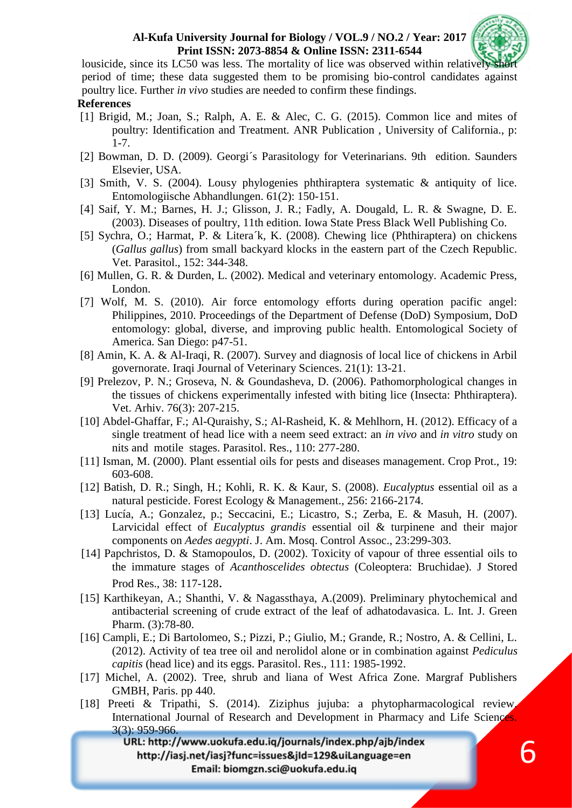

6

lousicide, since its LC50 was less. The mortality of lice was observed within relatively period of time; these data suggested them to be promising bio-control candidates against poultry lice. Further *in vivo* studies are needed to confirm these findings.

### **References**

- [1] Brigid, M.; Joan, S.; Ralph, A. E. & Alec, C. G. (2015). Common lice and mites of poultry: Identification and Treatment. ANR Publication , University of California., p: 1-7.
- [2] Bowman, D. D. (2009). Georgi´s Parasitology for Veterinarians. 9th edition. Saunders Elsevier, USA.
- [3] Smith, V. S. (2004). Lousy phylogenies phthiraptera systematic & antiquity of lice. Entomologiische Abhandlungen. 61(2): 150-151.
- [4] Saif, Y. M.; Barnes, H. J.; Glisson, J. R.; Fadly, A. Dougald, L. R. & Swagne, D. E. (2003). Diseases of poultry, 11th edition. Iowa State Press Black Well Publishing Co.
- [5] Sychra, O.; Harmat, P. & Litera´k, K. (2008). Chewing lice (Phthiraptera) on chickens (*Gallus gallus*) from small backyard klocks in the eastern part of the Czech Republic. Vet. Parasitol., 152: 344-348.
- [6] Mullen, G. R. & Durden, L. (2002). Medical and veterinary entomology. Academic Press, London.
- [7] Wolf, M. S. (2010). Air force entomology efforts during operation pacific angel: Philippines, 2010. Proceedings of the Department of Defense (DoD) Symposium, DoD entomology: global, diverse, and improving public health. Entomological Society of America. San Diego: p47-51.
- [8] Amin, K. A. & Al-Iraqi, R. (2007). Survey and diagnosis of local lice of chickens in Arbil governorate. Iraqi Journal of Veterinary Sciences. 21(1): 13-21.
- [9] Prelezov, P. N.; Groseva, N. & Goundasheva, D. (2006). Pathomorphological changes in the tissues of chickens experimentally infested with biting lice (Insecta: Phthiraptera). Vet. Arhiv. 76(3): 207-215.
- [10] Abdel-Ghaffar, F.; Al-Quraishy, S.; Al-Rasheid, K. & Mehlhorn, H. (2012). Efficacy of a single treatment of head lice with a neem seed extract: an *in vivo* and *in vitro* study on nits and motile stages. Parasitol. Res., 110: 277-280.
- [11] Isman, M. (2000). Plant essential oils for pests and diseases management. Crop Prot., 19: 603-608.
- [12] Batish, D. R.; Singh, H.; Kohli, R. K. & Kaur, S. (2008). *Eucalyptus* essential oil as a natural pesticide. Forest Ecology & Management., 256: 2166-2174.
- [13] Lucía, A.; Gonzalez, p.; Seccacini, E.; Licastro, S.; Zerba, E. & Masuh, H. (2007). Larvicidal effect of *Eucalyptus grandis* essential oil & turpinene and their major components on *Aedes aegypti*. J. Am. Mosq. Control Assoc., 23:299-303.
- [14] Papchristos, D. & Stamopoulos, D. (2002). Toxicity of vapour of three essential oils to the immature stages of *Acanthoscelides obtectus* (Coleoptera: Bruchidae). J Stored Prod Res., 38: 117-128.
- [15] Karthikeyan, A.; Shanthi, V. & Nagassthaya, A.(2009). Preliminary phytochemical and antibacterial screening of crude extract of the leaf of adhatodavasica. L. Int. J. Green Pharm. (3):78-80.
- [16] Campli, E.; Di Bartolomeo, S.; Pizzi, P.; Giulio, M.; Grande, R.; Nostro, A. & Cellini, L. (2012). Activity of tea tree oil and nerolidol alone or in combination against *Pediculus capitis* (head lice) and its eggs. Parasitol. Res., 111: 1985-1992.
- [17] Michel, A. (2002). Tree, shrub and liana of West Africa Zone. Margraf Publishers GMBH, Paris. pp 440.
- [18] Preeti & Tripathi, S. (2014). Ziziphus jujuba: a phytopharmacological review. International Journal of Research and Development in Pharmacy and Life Sciences.  $3(3)$ : 959-966.<br>URL: http://www.uokufa.edu.iq/journals/index.php/ajb/index

http://iasj.net/iasj?func=issues&jId=129&uiLanguage=en Email: biomgzn.sci@uokufa.edu.iq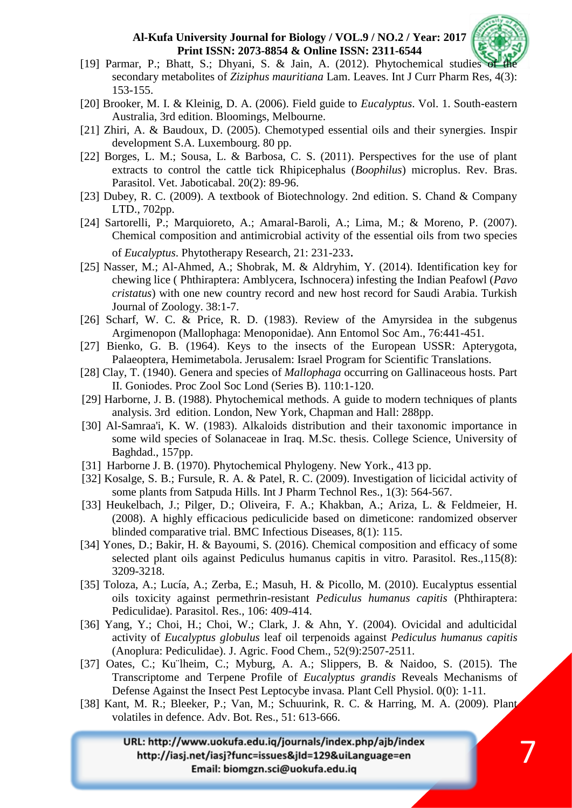

7

- [19] Parmar, P.; Bhatt, S.; Dhyani, S. & Jain, A.  $(2012)$ . Phytochemical studies secondary metabolites of *Ziziphus mauritiana* Lam. Leaves. Int J Curr Pharm Res, 4(3): 153-155.
- [20] Brooker, M. I. & Kleinig, D. A. (2006). Field guide to *Eucalyptus*. Vol. 1. South-eastern Australia, 3rd edition. Bloomings, Melbourne.
- [21] Zhiri, A. & Baudoux, D. (2005). Chemotyped essential oils and their synergies. Inspir development S.A. Luxembourg. 80 pp.
- [22] Borges, L. M.; Sousa, L. & Barbosa, C. S. (2011). Perspectives for the use of plant extracts to control the cattle tick Rhipicephalus (*Boophilus*) microplus. Rev. Bras. Parasitol. Vet. Jaboticabal. 20(2): 89-96.
- [23] Dubey, R. C. (2009). A textbook of Biotechnology. 2nd edition. S. Chand & Company LTD., 702pp.
- [24] Sartorelli, P.; Marquioreto, A.; Amaral-Baroli, A.; Lima, M.; & Moreno, P. (2007). Chemical composition and antimicrobial activity of the essential oils from two species of *Eucalyptus*. Phytotherapy Research, 21: 231-233.
- [25] Nasser, M.; Al-Ahmed, A.; Shobrak, M. & Aldryhim, Y. (2014). Identification key for chewing lice ( Phthiraptera: Amblycera, Ischnocera) infesting the Indian Peafowl (*Pavo cristatus*) with one new country record and new host record for Saudi Arabia. Turkish Journal of Zoology. 38:1-7.
- [26] Scharf, W. C. & Price, R. D. (1983). Review of the Amyrsidea in the subgenus Argimenopon (Mallophaga: Menoponidae). Ann Entomol Soc Am., 76:441-451.
- [27] Bienko, G. B. (1964). Keys to the insects of the European USSR: Apterygota, Palaeoptera, Hemimetabola. Jerusalem: Israel Program for Scientific Translations.
- [28] Clay, T. (1940). Genera and species of *Mallophaga* occurring on Gallinaceous hosts. Part II. Goniodes. Proc Zool Soc Lond (Series B). 110:1-120.
- [29] Harborne, J. B. (1988). Phytochemical methods. A guide to modern techniques of plants analysis. 3rd edition. London, New York, Chapman and Hall: 288pp.
- [30] Al-Samraa'i, K. W. (1983). Alkaloids distribution and their taxonomic importance in some wild species of Solanaceae in Iraq. M.Sc. thesis. College Science, University of Baghdad., 157pp.
- [31] Harborne J. B. (1970). Phytochemical Phylogeny. New York., 413 pp.
- [32] Kosalge, S. B.; Fursule, R. A. & Patel, R. C. (2009). Investigation of licicidal activity of some plants from Satpuda Hills. Int J Pharm Technol Res., 1(3): 564-567.
- [33] Heukelbach, J.; Pilger, D.; Oliveira, F. A.; Khakban, A.; Ariza, L. & Feldmeier, H. (2008). A highly efficacious pediculicide based on dimeticone: randomized observer blinded comparative trial. BMC Infectious Diseases, 8(1): 115.
- [34] Yones, D.; Bakir, H. & Bayoumi, S. (2016). Chemical composition and efficacy of some selected plant oils against Pediculus humanus capitis in vitro. Parasitol. Res.,115(8): 3209-3218.
- [35] Toloza, A.; Lucía, A.; Zerba, E.; Masuh, H. & Picollo, M. (2010). Eucalyptus essential oils toxicity against permethrin-resistant *Pediculus humanus capitis* (Phthiraptera: Pediculidae). Parasitol. Res., 106: 409-414.
- [36] Yang, Y.; Choi, H.; Choi, W.; Clark, J. & Ahn, Y. (2004). Ovicidal and adulticidal activity of *Eucalyptus globulus* leaf oil terpenoids against *Pediculus humanus capitis* (Anoplura: Pediculidae). J. Agric. Food Chem., 52(9):2507-2511.
- [37] Oates, C.; Ku¨lheim, C.; Myburg, A. A.; Slippers, B. & Naidoo, S. (2015). The Transcriptome and Terpene Profile of *Eucalyptus grandis* Reveals Mechanisms of Defense Against the Insect Pest Leptocybe invasa. Plant Cell Physiol. 0(0): 1-11.
- [38] Kant, M. R.; Bleeker, P.; Van, M.; Schuurink, R. C. & Harring, M. A. (2009). Plant volatiles in defence. Adv. Bot. Res., 51: 613-666.

URL: http://www.uokufa.edu.iq/journals/index.php/ajb/index http://iasj.net/iasj?func=issues&jId=129&uiLanguage=en Email: biomgzn.sci@uokufa.edu.iq